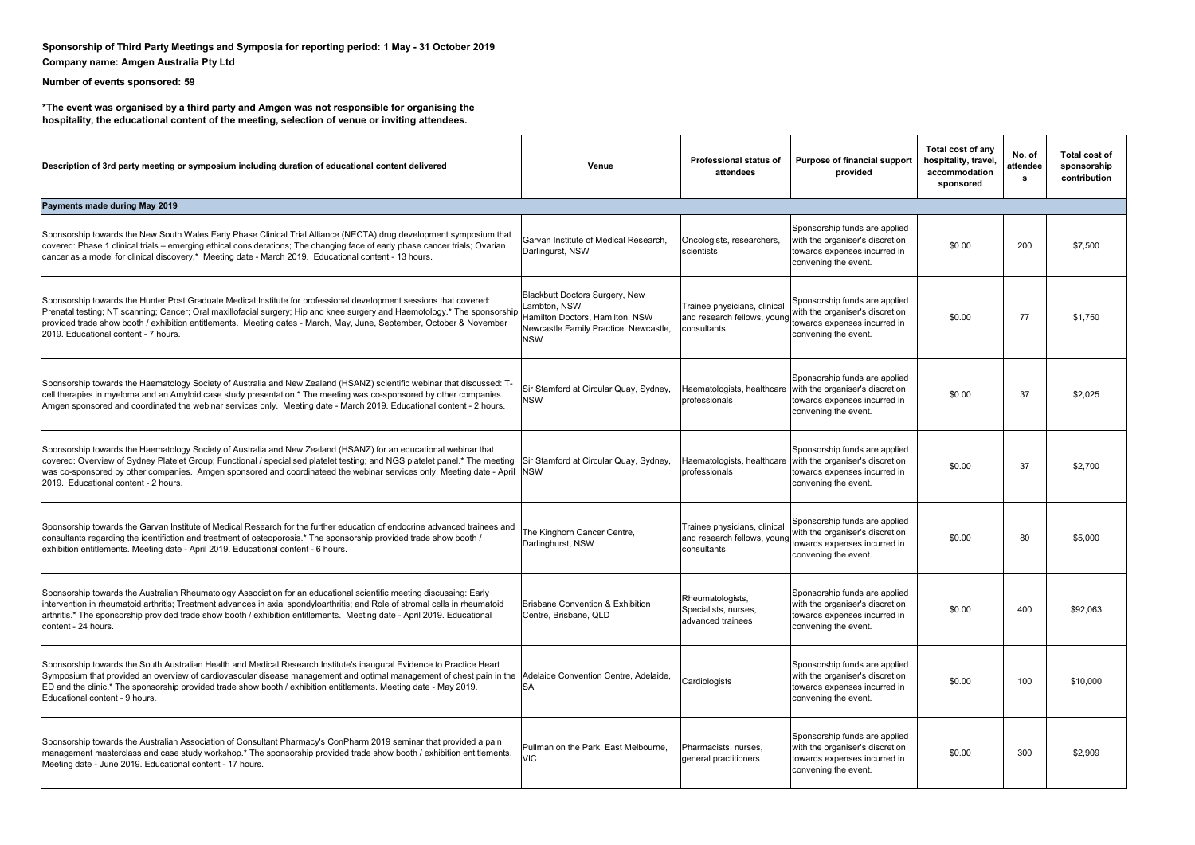## **Sponsorship of Third Party Meetings and Symposia for reporting period: 1 May - 31 October 2019 Company name: Amgen Australia Pty Ltd**

## **Number of events sponsored: 59**

**\*The event was organised by a third party and Amgen was not responsible for organising the hospitality, the educational content of the meeting, selection of venue or inviting attendees.**

| Description of 3rd party meeting or symposium including duration of educational content delivered                                                                                                                                                                                                                                                                                                                    | Venue                                                                                                                                    | <b>Professional status of</b><br>attendees                                 | Purpose of financial support<br>provided                                                                                                            | Total cost of any<br>hospitality, travel,<br>accommodation<br>sponsored | No. of<br>attendee<br>s | Total cost of<br>sponsorship<br>contribution |
|----------------------------------------------------------------------------------------------------------------------------------------------------------------------------------------------------------------------------------------------------------------------------------------------------------------------------------------------------------------------------------------------------------------------|------------------------------------------------------------------------------------------------------------------------------------------|----------------------------------------------------------------------------|-----------------------------------------------------------------------------------------------------------------------------------------------------|-------------------------------------------------------------------------|-------------------------|----------------------------------------------|
| Payments made during May 2019                                                                                                                                                                                                                                                                                                                                                                                        |                                                                                                                                          |                                                                            |                                                                                                                                                     |                                                                         |                         |                                              |
| Sponsorship towards the New South Wales Early Phase Clinical Trial Alliance (NECTA) drug development symposium that<br>covered: Phase 1 clinical trials - emerging ethical considerations; The changing face of early phase cancer trials; Ovarian<br>cancer as a model for clinical discovery.* Meeting date - March 2019. Educational content - 13 hours.                                                          | Garvan Institute of Medical Research.<br>Darlingurst, NSW                                                                                | Oncologists, researchers,<br>scientists                                    | Sponsorship funds are applied<br>with the organiser's discretion<br>towards expenses incurred in<br>convening the event.                            | \$0.00                                                                  | 200                     | \$7,500                                      |
| Sponsorship towards the Hunter Post Graduate Medical Institute for professional development sessions that covered:<br>Prenatal testing; NT scanning; Cancer; Oral maxillofacial surgery; Hip and knee surgery and Haemotology.* The sponsorship<br>provided trade show booth / exhibition entitlements. Meeting dates - March, May, June, September, October & November<br>2019. Educational content - 7 hours.      | Blackbutt Doctors Surgery, New<br>Lambton, NSW<br>Hamilton Doctors, Hamilton, NSW<br>Newcastle Family Practice, Newcastle,<br><b>NSW</b> | Trainee physicians, clinical<br>and research fellows, young<br>consultants | Sponsorship funds are applied<br>with the organiser's discretion<br>towards expenses incurred in<br>convening the event.                            | \$0.00                                                                  | 77                      | \$1.750                                      |
| Sponsorship towards the Haematology Society of Australia and New Zealand (HSANZ) scientific webinar that discussed: T-<br>cell therapies in myeloma and an Amyloid case study presentation.* The meeting was co-sponsored by other companies.<br>Amgen sponsored and coordinated the webinar services only. Meeting date - March 2019. Educational content - 2 hours.                                                | Sir Stamford at Circular Quay, Sydney,<br><b>NSW</b>                                                                                     | professionals                                                              | Sponsorship funds are applied<br>Haematologists, healthcare with the organiser's discretion<br>towards expenses incurred in<br>convening the event. | \$0.00                                                                  | 37                      | \$2,025                                      |
| Sponsorship towards the Haematology Society of Australia and New Zealand (HSANZ) for an educational webinar that<br>covered: Overview of Sydney Platelet Group; Functional / specialised platelet testing; and NGS platelet panel.* The meeting<br>was co-sponsored by other companies. Amgen sponsored and coordinateed the webinar services only. Meeting date - April NSW<br>2019. Educational content - 2 hours. | Sir Stamford at Circular Quay, Sydney,                                                                                                   | professionals                                                              | Sponsorship funds are applied<br>Haematologists, healthcare with the organiser's discretion<br>towards expenses incurred in<br>convening the event. | \$0.00                                                                  | 37                      | \$2.700                                      |
| Sponsorship towards the Garvan Institute of Medical Research for the further education of endocrine advanced trainees and<br>consultants regarding the identifiction and treatment of osteoporosis.* The sponsorship provided trade show booth /<br>exhibition entitlements. Meeting date - April 2019. Educational content - 6 hours.                                                                               | The Kinghorn Cancer Centre,<br>Darlinghurst, NSW                                                                                         | Trainee physicians, clinical<br>and research fellows, young<br>consultants | Sponsorship funds are applied<br>with the organiser's discretion<br>towards expenses incurred in<br>convening the event.                            | \$0.00                                                                  | 80                      | \$5.000                                      |
| Sponsorship towards the Australian Rheumatology Association for an educational scientific meeting discussing: Early<br>intervention in rheumatoid arthritis; Treatment advances in axial spondyloarthritis; and Role of stromal cells in rheumatoid<br>arthritis.* The sponsorship provided trade show booth / exhibition entitlements. Meeting date - April 2019. Educational<br>content - 24 hours.                | Brisbane Convention & Exhibition<br>Centre, Brisbane, QLD                                                                                | Rheumatologists,<br>Specialists, nurses.<br>advanced trainees              | Sponsorship funds are applied<br>with the organiser's discretion<br>towards expenses incurred in<br>convening the event.                            | \$0.00                                                                  | 400                     | \$92.063                                     |
| Sponsorship towards the South Australian Health and Medical Research Institute's inaugural Evidence to Practice Heart<br>Symposium that provided an overview of cardiovascular disease management and optimal management of chest pain in the<br>ED and the clinic.* The sponsorship provided trade show booth / exhibition entitlements. Meeting date - May 2019.<br>Educational content - 9 hours.                 | Adelaide Convention Centre, Adelaide,<br><b>SA</b>                                                                                       | Cardiologists                                                              | Sponsorship funds are applied<br>with the organiser's discretion<br>towards expenses incurred in<br>convening the event.                            | \$0.00                                                                  | 100                     | \$10,000                                     |
| Sponsorship towards the Australian Association of Consultant Pharmacy's ConPharm 2019 seminar that provided a pain<br>management masterclass and case study workshop.* The sponsorship provided trade show booth / exhibition entitlements.<br>Meeting date - June 2019. Educational content - 17 hours.                                                                                                             | Pullman on the Park, East Melbourne,<br><b>VIC</b>                                                                                       | Pharmacists, nurses,<br>general practitioners                              | Sponsorship funds are applied<br>with the organiser's discretion<br>towards expenses incurred in<br>convening the event.                            | \$0.00                                                                  | 300                     | \$2,909                                      |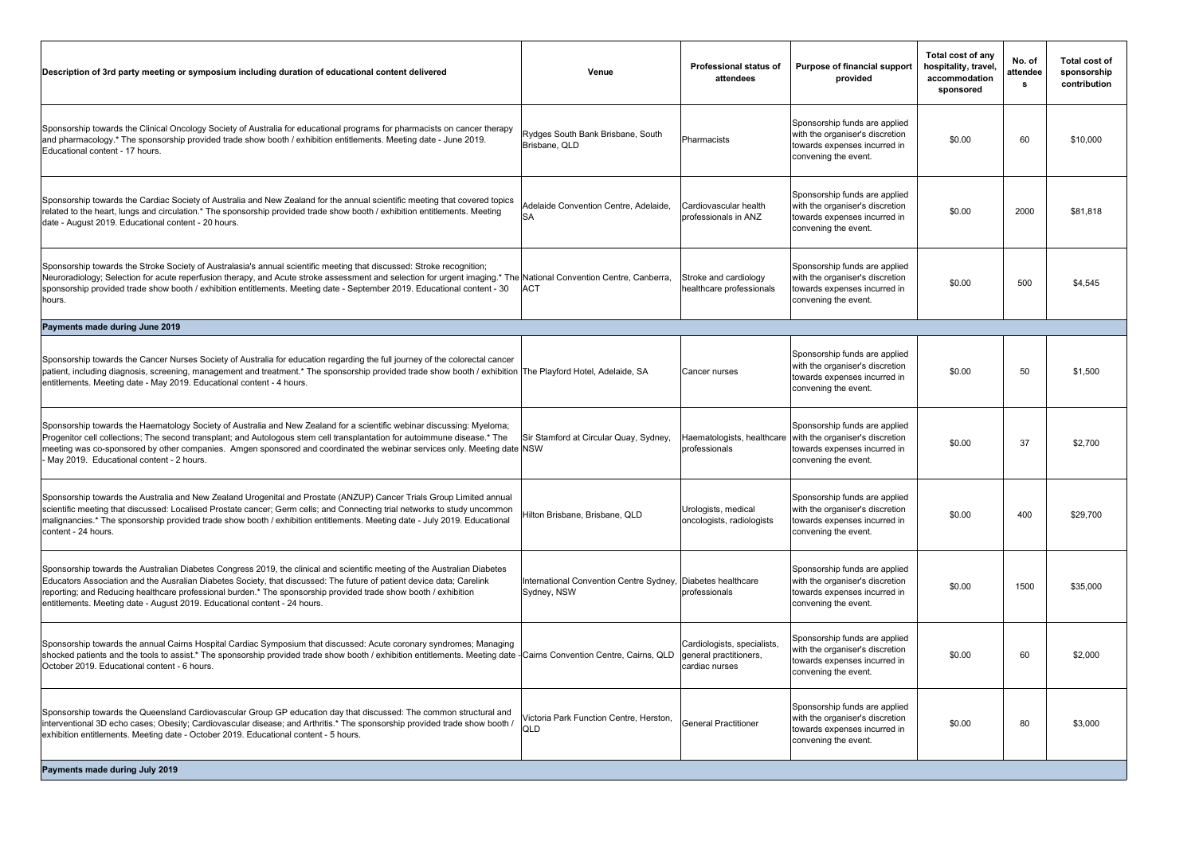| Description of 3rd party meeting or symposium including duration of educational content delivered                                                                                                                                                                                                                                                                                                                                                  | Venue                                                  | Professional status of<br>attendees                                     | Purpose of financial support<br>provided                                                                                                            | Total cost of any<br>hospitality, travel,<br>accommodation<br>sponsored | No. of<br>attendee<br>s | Total cost of<br>sponsorship<br>contribution |
|----------------------------------------------------------------------------------------------------------------------------------------------------------------------------------------------------------------------------------------------------------------------------------------------------------------------------------------------------------------------------------------------------------------------------------------------------|--------------------------------------------------------|-------------------------------------------------------------------------|-----------------------------------------------------------------------------------------------------------------------------------------------------|-------------------------------------------------------------------------|-------------------------|----------------------------------------------|
| Sponsorship towards the Clinical Oncology Society of Australia for educational programs for pharmacists on cancer therapy<br>and pharmacology.* The sponsorship provided trade show booth / exhibition entitlements. Meeting date - June 2019.<br>Educational content - 17 hours.                                                                                                                                                                  | Rydges South Bank Brisbane, South<br>Brisbane, QLD     | Pharmacists                                                             | Sponsorship funds are applied<br>with the organiser's discretion<br>towards expenses incurred in<br>convening the event.                            | \$0.00                                                                  | 60                      | \$10,000                                     |
| Sponsorship towards the Cardiac Society of Australia and New Zealand for the annual scientific meeting that covered topics<br>related to the heart, lungs and circulation.* The sponsorship provided trade show booth / exhibition entitlements. Meeting<br>date - August 2019. Educational content - 20 hours.                                                                                                                                    | Adelaide Convention Centre, Adelaide,<br>SA            | Cardiovascular health<br>professionals in ANZ                           | Sponsorship funds are applied<br>with the organiser's discretion<br>towards expenses incurred in<br>convening the event.                            | \$0.00                                                                  | 2000                    | \$81,818                                     |
| Sponsorship towards the Stroke Society of Australasia's annual scientific meeting that discussed: Stroke recognition;<br>Neuroradiology; Selection for acute reperfusion therapy, and Acute stroke assessment and selection for urgent imaging.* The National Convention Centre, Canberra,<br>sponsorship provided trade show booth / exhibition entitlements. Meeting date - September 2019. Educational content - 30<br>hours.                   | <b>ACT</b>                                             | Stroke and cardiology<br>healthcare professionals                       | Sponsorship funds are applied<br>with the organiser's discretion<br>towards expenses incurred in<br>convening the event.                            | \$0.00                                                                  | 500                     | \$4,545                                      |
| Payments made during June 2019                                                                                                                                                                                                                                                                                                                                                                                                                     |                                                        |                                                                         |                                                                                                                                                     |                                                                         |                         |                                              |
| Sponsorship towards the Cancer Nurses Society of Australia for education regarding the full journey of the colorectal cancer<br>patient, including diagnosis, screening, management and treatment.* The sponsorship provided trade show booth / exhibition The Playford Hotel, Adelaide, SA<br>entitlements. Meeting date - May 2019. Educational content - 4 hours.                                                                               |                                                        | Cancer nurses                                                           | Sponsorship funds are applied<br>with the organiser's discretion<br>towards expenses incurred in<br>convening the event.                            | \$0.00                                                                  | 50                      | \$1,500                                      |
| Sponsorship towards the Haematology Society of Australia and New Zealand for a scientific webinar discussing: Myeloma;<br>Progenitor cell collections; The second transplant; and Autologous stem cell transplantation for autoimmune disease.* The<br>meeting was co-sponsored by other companies. Amgen sponsored and coordinated the webinar services only. Meeting date NSW<br>May 2019. Educational content - 2 hours.                        | Sir Stamford at Circular Quay, Sydney,                 | professionals                                                           | Sponsorship funds are applied<br>Haematologists, healthcare with the organiser's discretion<br>towards expenses incurred in<br>convening the event. | \$0.00                                                                  | 37                      | \$2,700                                      |
| Sponsorship towards the Australia and New Zealand Urogenital and Prostate (ANZUP) Cancer Trials Group Limited annual<br>scientific meeting that discussed: Localised Prostate cancer; Germ cells; and Connecting trial networks to study uncommon<br>malignancies.* The sponsorship provided trade show booth / exhibition entitlements. Meeting date - July 2019. Educational<br>content - 24 hours.                                              | Hilton Brisbane, Brisbane, QLD                         | Urologists, medical<br>oncologists, radiologists                        | Sponsorship funds are applied<br>with the organiser's discretion<br>towards expenses incurred in<br>convening the event.                            | \$0.00                                                                  | 400                     | \$29,700                                     |
| Sponsorship towards the Australian Diabetes Congress 2019, the clinical and scientific meeting of the Australian Diabetes<br>Educators Association and the Ausralian Diabetes Society, that discussed: The future of patient device data; Carelink<br>reporting; and Reducing healthcare professional burden.* The sponsorship provided trade show booth / exhibition<br>entitlements. Meeting date - August 2019. Educational content - 24 hours. | International Convention Centre Sydney,<br>Sydney, NSW | Diabetes healthcare<br>professionals                                    | Sponsorship funds are applied<br>with the organiser's discretion<br>towards expenses incurred in<br>convening the event.                            | \$0.00                                                                  | 1500                    | \$35,000                                     |
| Sponsorship towards the annual Cairns Hospital Cardiac Symposium that discussed: Acute coronary syndromes; Managing<br>shocked patients and the tools to assist.* The sponsorship provided trade show booth / exhibition entitlements. Meeting date - Cairns Convention Centre, Cairns, QLD<br>October 2019, Educational content - 6 hours.                                                                                                        |                                                        | Cardiologists, specialists,<br>general practitioners,<br>cardiac nurses | Sponsorship funds are applied<br>with the organiser's discretion<br>towards expenses incurred in<br>convening the event.                            | \$0.00                                                                  | 60                      | \$2,000                                      |
| Sponsorship towards the Queensland Cardiovascular Group GP education day that discussed: The common structural and<br>interventional 3D echo cases; Obesity; Cardiovascular disease; and Arthritis.* The sponsorship provided trade show booth /<br>exhibition entitlements. Meeting date - October 2019. Educational content - 5 hours.                                                                                                           | Victoria Park Function Centre, Herston,<br>QLD         | <b>General Practitioner</b>                                             | Sponsorship funds are applied<br>with the organiser's discretion<br>towards expenses incurred in<br>convening the event.                            | \$0.00                                                                  | 80                      | \$3,000                                      |
| Payments made during July 2019                                                                                                                                                                                                                                                                                                                                                                                                                     |                                                        |                                                                         |                                                                                                                                                     |                                                                         |                         |                                              |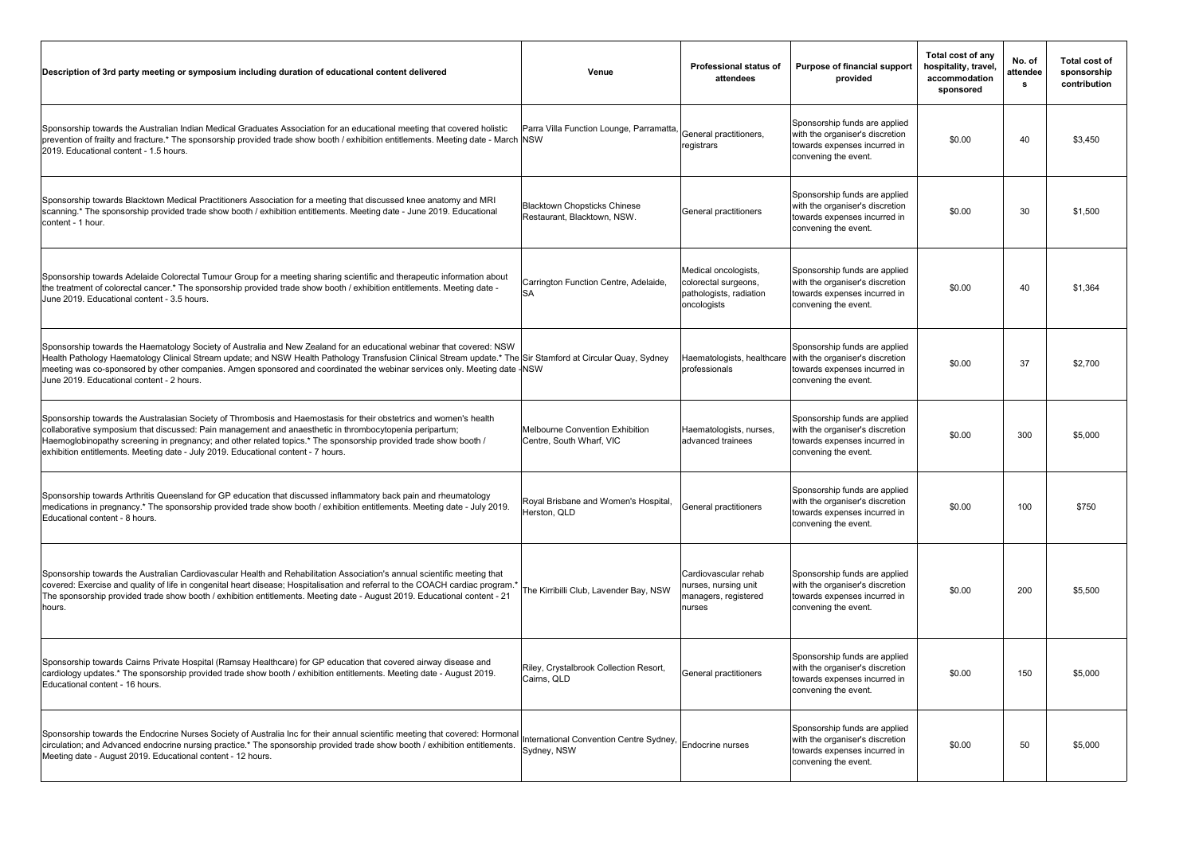| Description of 3rd party meeting or symposium including duration of educational content delivered                                                                                                                                                                                                                                                                                                                                                                | Venue                                                              | Professional status of<br>attendees                                                    | Purpose of financial support<br>provided                                                                                 | Total cost of any<br>hospitality, travel,<br>accommodation<br>sponsored | No. of<br>attendee<br>s | Total cost of<br>sponsorship<br>contribution |
|------------------------------------------------------------------------------------------------------------------------------------------------------------------------------------------------------------------------------------------------------------------------------------------------------------------------------------------------------------------------------------------------------------------------------------------------------------------|--------------------------------------------------------------------|----------------------------------------------------------------------------------------|--------------------------------------------------------------------------------------------------------------------------|-------------------------------------------------------------------------|-------------------------|----------------------------------------------|
| Sponsorship towards the Australian Indian Medical Graduates Association for an educational meeting that covered holistic<br>prevention of frailty and fracture.* The sponsorship provided trade show booth / exhibition entitlements. Meeting date - March NSW<br>2019. Educational content - 1.5 hours.                                                                                                                                                         | Parra Villa Function Lounge, Parramatta                            | General practitioners,<br>registrars                                                   | Sponsorship funds are applied<br>with the organiser's discretion<br>towards expenses incurred in<br>convening the event. | \$0.00                                                                  | 40                      | \$3.450                                      |
| Sponsorship towards Blacktown Medical Practitioners Association for a meeting that discussed knee anatomy and MRI<br>scanning.* The sponsorship provided trade show booth / exhibition entitlements. Meeting date - June 2019. Educational<br>content - 1 hour.                                                                                                                                                                                                  | <b>Blacktown Chopsticks Chinese</b><br>Restaurant, Blacktown, NSW. | General practitioners                                                                  | Sponsorship funds are applied<br>with the organiser's discretion<br>towards expenses incurred in<br>convening the event. | \$0.00                                                                  | 30                      | \$1,500                                      |
| Sponsorship towards Adelaide Colorectal Tumour Group for a meeting sharing scientific and therapeutic information about<br>the treatment of colorectal cancer.* The sponsorship provided trade show booth / exhibition entitlements. Meeting date -<br>June 2019. Educational content - 3.5 hours.                                                                                                                                                               | Carrington Function Centre, Adelaide,<br><b>SA</b>                 | Medical oncologists,<br>colorectal surgeons,<br>pathologists, radiation<br>oncologists | Sponsorship funds are applied<br>with the organiser's discretion<br>towards expenses incurred in<br>convening the event. | \$0.00                                                                  | 40                      | \$1,364                                      |
| Sponsorship towards the Haematology Society of Australia and New Zealand for an educational webinar that covered: NSW<br>Health Pathology Haematology Clinical Stream update; and NSW Health Pathology Transfusion Clinical Stream update.* The Sir Stamford at Circular Quay, Sydney<br>meeting was co-sponsored by other companies. Amgen sponsored and coordinated the webinar services only. Meeting date - NSW<br>June 2019. Educational content - 2 hours. |                                                                    | Haematologists, healthcare<br>professionals                                            | Sponsorship funds are applied<br>with the organiser's discretion<br>towards expenses incurred in<br>convening the event. | \$0.00                                                                  | 37                      | \$2,700                                      |
| Sponsorship towards the Australasian Society of Thrombosis and Haemostasis for their obstetrics and women's health<br>collaborative symposium that discussed: Pain management and anaesthetic in thrombocytopenia peripartum;<br>Haemoglobinopathy screening in pregnancy; and other related topics.* The sponsorship provided trade show booth /<br>exhibition entitlements. Meeting date - July 2019. Educational content - 7 hours.                           | Melbourne Convention Exhibition<br>Centre, South Wharf, VIC        | Haematologists, nurses,<br>advanced trainees                                           | Sponsorship funds are applied<br>with the organiser's discretion<br>towards expenses incurred in<br>convening the event. | \$0.00                                                                  | 300                     | \$5,000                                      |
| Sponsorship towards Arthritis Queensland for GP education that discussed inflammatory back pain and rheumatology<br>medications in pregnancy.* The sponsorship provided trade show booth / exhibition entitlements. Meeting date - July 2019.<br>Educational content - 8 hours.                                                                                                                                                                                  | Royal Brisbane and Women's Hospital,<br>Herston, QLD               | General practitioners                                                                  | Sponsorship funds are applied<br>with the organiser's discretion<br>towards expenses incurred in<br>convening the event. | \$0.00                                                                  | 100                     | \$750                                        |
| Sponsorship towards the Australian Cardiovascular Health and Rehabilitation Association's annual scientific meeting that<br>covered: Exercise and quality of life in congenital heart disease; Hospitalisation and referral to the COACH cardiac program.<br>The sponsorship provided trade show booth / exhibition entitlements. Meeting date - August 2019. Educational content - 21<br>hours.                                                                 | The Kirribilli Club, Lavender Bay, NSW                             | Cardiovascular rehab<br>nurses, nursing unit<br>managers, registered<br>nurses         | Sponsorship funds are applied<br>with the organiser's discretion<br>towards expenses incurred in<br>convening the event. | \$0.00                                                                  | 200                     | \$5.500                                      |
| Sponsorship towards Cairns Private Hospital (Ramsay Healthcare) for GP education that covered airway disease and<br>cardiology updates.* The sponsorship provided trade show booth / exhibition entitlements. Meeting date - August 2019.<br>Educational content - 16 hours.                                                                                                                                                                                     | Riley, Crystalbrook Collection Resort,<br>Cairns, QLD              | General practitioners                                                                  | Sponsorship funds are applied<br>with the organiser's discretion<br>towards expenses incurred in<br>convening the event. | \$0.00                                                                  | 150                     | \$5,000                                      |
| Sponsorship towards the Endocrine Nurses Society of Australia Inc for their annual scientific meeting that covered: Hormonal<br>circulation; and Advanced endocrine nursing practice.* The sponsorship provided trade show booth / exhibition entitlements.<br>Meeting date - August 2019. Educational content - 12 hours.                                                                                                                                       | International Convention Centre Sydney,<br>Sydney, NSW             | Endocrine nurses                                                                       | Sponsorship funds are applied<br>with the organiser's discretion<br>towards expenses incurred in<br>convening the event. | \$0.00                                                                  | 50                      | \$5,000                                      |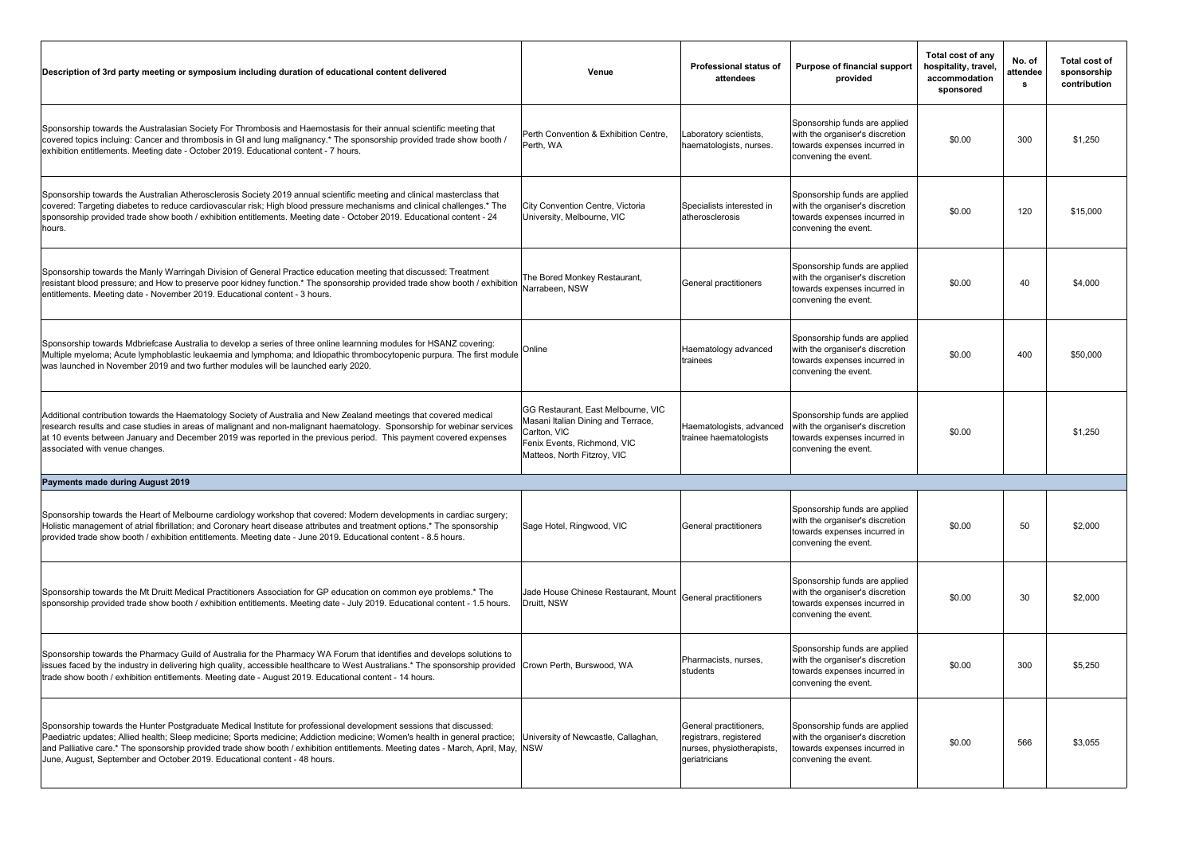| Description of 3rd party meeting or symposium including duration of educational content delivered                                                                                                                                                                                                                                                                                                                                                                | Venue                                                                                                                                                  | Professional status of<br>attendees                                                            | Purpose of financial support<br>provided                                                                                 | Total cost of any<br>hospitality, travel,<br>accommodation<br>sponsored | No. of<br>attendee<br>s | Total cost of<br>sponsorship<br>contribution |
|------------------------------------------------------------------------------------------------------------------------------------------------------------------------------------------------------------------------------------------------------------------------------------------------------------------------------------------------------------------------------------------------------------------------------------------------------------------|--------------------------------------------------------------------------------------------------------------------------------------------------------|------------------------------------------------------------------------------------------------|--------------------------------------------------------------------------------------------------------------------------|-------------------------------------------------------------------------|-------------------------|----------------------------------------------|
| Sponsorship towards the Australasian Society For Thrombosis and Haemostasis for their annual scientific meeting that<br>covered topics incluing: Cancer and thrombosis in GI and lung malignancy.* The sponsorship provided trade show booth /<br>exhibition entitlements. Meeting date - October 2019. Educational content - 7 hours.                                                                                                                           | Perth Convention & Exhibition Centre,<br>Perth, WA                                                                                                     | aboratory scientists,<br>haematologists, nurses.                                               | Sponsorship funds are applied<br>with the organiser's discretion<br>towards expenses incurred in<br>convening the event. | \$0.00                                                                  | 300                     | \$1,250                                      |
| Sponsorship towards the Australian Atherosclerosis Society 2019 annual scientific meeting and clinical masterclass that<br>covered: Targeting diabetes to reduce cardiovascular risk; High blood pressure mechanisms and clinical challenges.* The<br>sponsorship provided trade show booth / exhibition entitlements. Meeting date - October 2019. Educational content - 24<br>hours.                                                                           | City Convention Centre, Victoria<br>University, Melbourne, VIC                                                                                         | Specialists interested in<br>atherosclerosis                                                   | Sponsorship funds are applied<br>with the organiser's discretion<br>towards expenses incurred in<br>convening the event. | \$0.00                                                                  | 120                     | \$15,000                                     |
| Sponsorship towards the Manly Warringah Division of General Practice education meeting that discussed: Treatment<br>resistant blood pressure; and How to preserve poor kidney function.* The sponsorship provided trade show booth / exhibition<br>entitlements. Meeting date - November 2019. Educational content - 3 hours.                                                                                                                                    | The Bored Monkey Restaurant,<br>Narrabeen, NSW                                                                                                         | General practitioners                                                                          | Sponsorship funds are applied<br>with the organiser's discretion<br>towards expenses incurred in<br>convening the event. | \$0.00                                                                  | 40                      | \$4,000                                      |
| Sponsorship towards Mdbriefcase Australia to develop a series of three online learnning modules for HSANZ covering:<br>Multiple myeloma; Acute lymphoblastic leukaemia and lymphoma; and Idiopathic thrombocytopenic purpura. The first module<br>was launched in November 2019 and two further modules will be launched early 2020.                                                                                                                             | Online                                                                                                                                                 | Haematology advanced<br>trainees                                                               | Sponsorship funds are applied<br>with the organiser's discretion<br>towards expenses incurred in<br>convening the event. | \$0.00                                                                  | 400                     | \$50,000                                     |
| Additional contribution towards the Haematology Society of Australia and New Zealand meetings that covered medical<br>research results and case studies in areas of malignant and non-malignant haematology. Sponsorship for webinar services<br>at 10 events between January and December 2019 was reported in the previous period. This payment covered expenses<br>associated with venue changes.                                                             | GG Restaurant, East Melbourne, VIC<br>Masani Italian Dining and Terrace,<br>Carlton, VIC<br>Fenix Events, Richmond, VIC<br>Matteos, North Fitzroy, VIC | Haematologists, advanced<br>trainee haematologists                                             | Sponsorship funds are applied<br>with the organiser's discretion<br>towards expenses incurred in<br>convening the event. | \$0.00                                                                  |                         | \$1,250                                      |
| Payments made during August 2019                                                                                                                                                                                                                                                                                                                                                                                                                                 |                                                                                                                                                        |                                                                                                |                                                                                                                          |                                                                         |                         |                                              |
| Sponsorship towards the Heart of Melbourne cardiology workshop that covered: Modern developments in cardiac surgery;<br>Holistic management of atrial fibrillation; and Coronary heart disease attributes and treatment options.* The sponsorship<br>provided trade show booth / exhibition entitlements. Meeting date - June 2019. Educational content - 8.5 hours.                                                                                             | Sage Hotel, Ringwood, VIC                                                                                                                              | General practitioners                                                                          | Sponsorship funds are applied<br>with the organiser's discretion<br>towards expenses incurred in<br>convening the event. | \$0.00                                                                  | 50                      | \$2,000                                      |
| Sponsorship towards the Mt Druitt Medical Practitioners Association for GP education on common eye problems.* The<br>sponsorship provided trade show booth / exhibition entitlements. Meeting date - July 2019. Educational content - 1.5 hours.                                                                                                                                                                                                                 | Jade House Chinese Restaurant, Mount<br>Druitt, NSW                                                                                                    | General practitioners                                                                          | Sponsorship funds are applied<br>with the organiser's discretion<br>towards expenses incurred in<br>convening the event. | \$0.00                                                                  | 30                      | \$2,000                                      |
| Sponsorship towards the Pharmacy Guild of Australia for the Pharmacy WA Forum that identifies and develops solutions to<br>issues faced by the industry in delivering high quality, accessible healthcare to West Australians.* The sponsorship provided<br>trade show booth / exhibition entitlements. Meeting date - August 2019. Educational content - 14 hours.                                                                                              | Crown Perth, Burswood, WA                                                                                                                              | Pharmacists, nurses,<br>students                                                               | Sponsorship funds are applied<br>with the organiser's discretion<br>towards expenses incurred in<br>convening the event. | \$0.00                                                                  | 300                     | \$5,250                                      |
| Sponsorship towards the Hunter Postgraduate Medical Institute for professional development sessions that discussed:<br>Paediatric updates; Allied health; Sleep medicine; Sports medicine; Addiction medicine; Women's health in general practice;<br>and Palliative care.* The sponsorship provided trade show booth / exhibition entitlements. Meeting dates - March, April, May,<br>June, August, September and October 2019. Educational content - 48 hours. | University of Newcastle, Callaghan,<br><b>NSW</b>                                                                                                      | General practitioners,<br>registrars, registered<br>nurses, physiotherapists,<br>geriatricians | Sponsorship funds are applied<br>with the organiser's discretion<br>towards expenses incurred in<br>convening the event. | \$0.00                                                                  | 566                     | \$3,055                                      |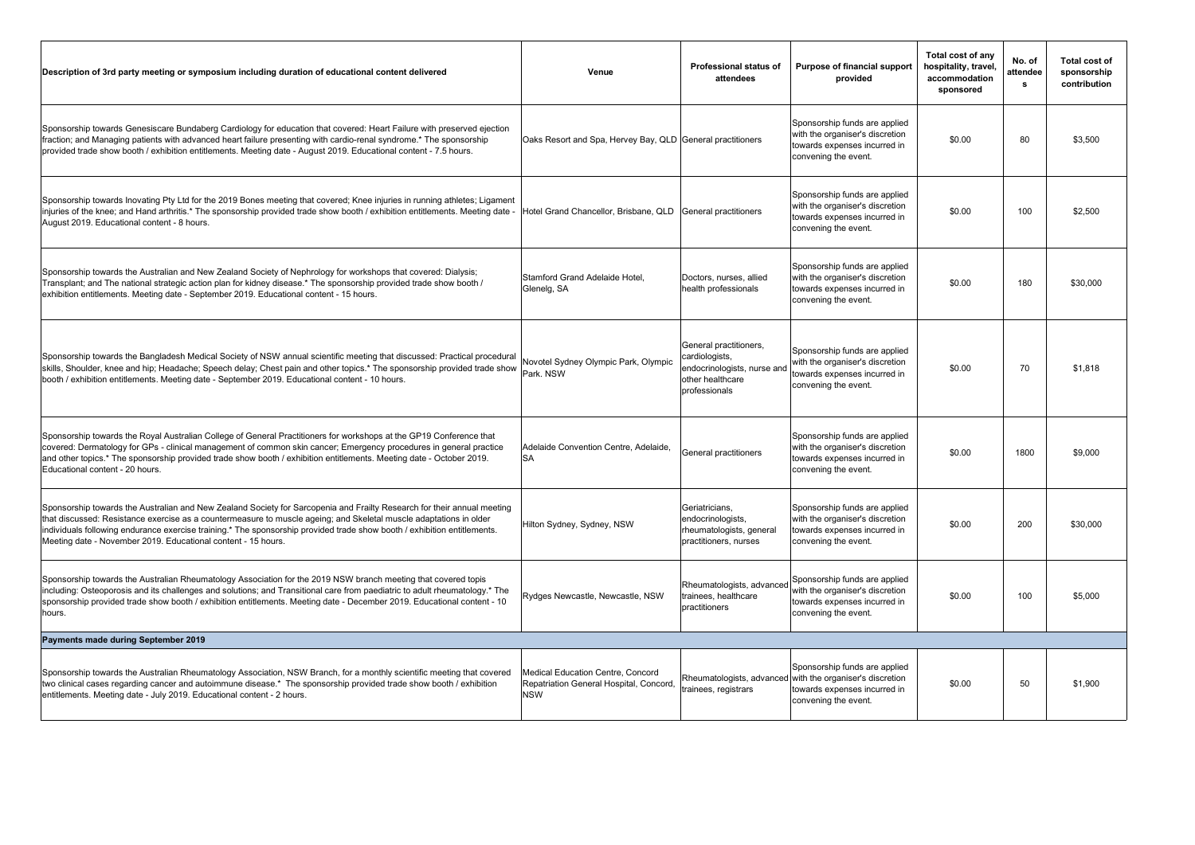| Description of 3rd party meeting or symposium including duration of educational content delivered                                                                                                                                                                                                                                                                                                                                          | Venue                                                                                      | Professional status of<br>attendees                                                                          | Purpose of financial support<br>provided                                                                                                           | Total cost of any<br>hospitality, travel,<br>accommodation<br>sponsored | No. of<br>attendee<br>s | Total cost of<br>sponsorship<br>contribution |
|--------------------------------------------------------------------------------------------------------------------------------------------------------------------------------------------------------------------------------------------------------------------------------------------------------------------------------------------------------------------------------------------------------------------------------------------|--------------------------------------------------------------------------------------------|--------------------------------------------------------------------------------------------------------------|----------------------------------------------------------------------------------------------------------------------------------------------------|-------------------------------------------------------------------------|-------------------------|----------------------------------------------|
| Sponsorship towards Genesiscare Bundaberg Cardiology for education that covered: Heart Failure with preserved ejection<br>fraction; and Managing patients with advanced heart failure presenting with cardio-renal syndrome.* The sponsorship<br>provided trade show booth / exhibition entitlements. Meeting date - August 2019. Educational content - 7.5 hours.                                                                         | Oaks Resort and Spa, Hervey Bay, QLD General practitioners                                 |                                                                                                              | Sponsorship funds are applied<br>with the organiser's discretion<br>towards expenses incurred in<br>convening the event.                           | \$0.00                                                                  | 80                      | \$3,500                                      |
| Sponsorship towards Inovating Pty Ltd for the 2019 Bones meeting that covered; Knee injuries in running athletes; Ligament<br>injuries of the knee; and Hand arthritis.* The sponsorship provided trade show booth / exhibition entitlements. Meeting date -<br>August 2019. Educational content - 8 hours.                                                                                                                                | Hotel Grand Chancellor, Brisbane, QLD                                                      | General practitioners                                                                                        | Sponsorship funds are applied<br>with the organiser's discretion<br>towards expenses incurred in<br>convening the event.                           | \$0.00                                                                  | 100                     | \$2,500                                      |
| Sponsorship towards the Australian and New Zealand Society of Nephrology for workshops that covered: Dialysis;<br>Transplant; and The national strategic action plan for kidney disease.* The sponsorship provided trade show booth /<br>exhibition entitlements. Meeting date - September 2019. Educational content - 15 hours.                                                                                                           | Stamford Grand Adelaide Hotel,<br>Glenelg, SA                                              | Doctors, nurses, allied<br>health professionals                                                              | Sponsorship funds are applied<br>with the organiser's discretion<br>towards expenses incurred in<br>convening the event.                           | \$0.00                                                                  | 180                     | \$30,000                                     |
| Sponsorship towards the Bangladesh Medical Society of NSW annual scientific meeting that discussed: Practical procedural<br>skills, Shoulder, knee and hip; Headache; Speech delay; Chest pain and other topics.* The sponsorship provided trade show<br>booth / exhibition entitlements. Meeting date - September 2019. Educational content - 10 hours.                                                                                   | Novotel Sydney Olympic Park, Olympic<br>Park. NSW                                          | General practitioners,<br>cardiologists,<br>endocrinologists, nurse and<br>other healthcare<br>professionals | Sponsorship funds are applied<br>with the organiser's discretion<br>towards expenses incurred in<br>convening the event.                           | \$0.00                                                                  | 70                      | \$1,818                                      |
| Sponsorship towards the Royal Australian College of General Practitioners for workshops at the GP19 Conference that<br>covered: Dermatology for GPs - clinical management of common skin cancer; Emergency procedures in general practice<br>and other topics.* The sponsorship provided trade show booth / exhibition entitlements. Meeting date - October 2019.<br>Educational content - 20 hours.                                       | Adelaide Convention Centre, Adelaide,<br>SA                                                | General practitioners                                                                                        | Sponsorship funds are applied<br>with the organiser's discretion<br>towards expenses incurred in<br>convening the event.                           | \$0.00                                                                  | 1800                    | \$9,000                                      |
| Sponsorship towards the Australian and New Zealand Society for Sarcopenia and Frailty Research for their annual meeting<br>that discussed: Resistance exercise as a countermeasure to muscle ageing; and Skeletal muscle adaptations in older<br>individuals following endurance exercise training.* The sponsorship provided trade show booth / exhibition entitlements.<br>Meeting date - November 2019. Educational content - 15 hours. | Hilton Sydney, Sydney, NSW                                                                 | Geriatricians.<br>endocrinologists,<br>rheumatologists, general<br>practitioners, nurses                     | Sponsorship funds are applied<br>with the organiser's discretion<br>towards expenses incurred in<br>convening the event.                           | \$0.00                                                                  | 200                     | \$30,000                                     |
| Sponsorship towards the Australian Rheumatology Association for the 2019 NSW branch meeting that covered topis<br>including: Osteoporosis and its challenges and solutions; and Transitional care from paediatric to adult rheumatology.* The<br>sponsorship provided trade show booth / exhibition entitlements. Meeting date - December 2019. Educational content - 10<br>hours.                                                         | Rydges Newcastle, Newcastle, NSW                                                           | Rheumatologists, advanced<br>trainees, healthcare<br>practitioners                                           | Sponsorship funds are applied<br>with the organiser's discretion<br>towards expenses incurred in<br>convening the event.                           | \$0.00                                                                  | 100                     | \$5,000                                      |
| Payments made during September 2019                                                                                                                                                                                                                                                                                                                                                                                                        |                                                                                            |                                                                                                              |                                                                                                                                                    |                                                                         |                         |                                              |
| Sponsorship towards the Australian Rheumatology Association, NSW Branch, for a monthly scientific meeting that covered<br>two clinical cases regarding cancer and autoimmune disease.* The sponsorship provided trade show booth / exhibition<br>entitlements. Meeting date - July 2019. Educational content - 2 hours.                                                                                                                    | Medical Education Centre. Concord<br>Repatriation General Hospital, Concord,<br><b>NSW</b> | trainees, registrars                                                                                         | Sponsorship funds are applied<br>Rheumatologists, advanced with the organiser's discretion<br>towards expenses incurred in<br>convening the event. | \$0.00                                                                  | 50                      | \$1,900                                      |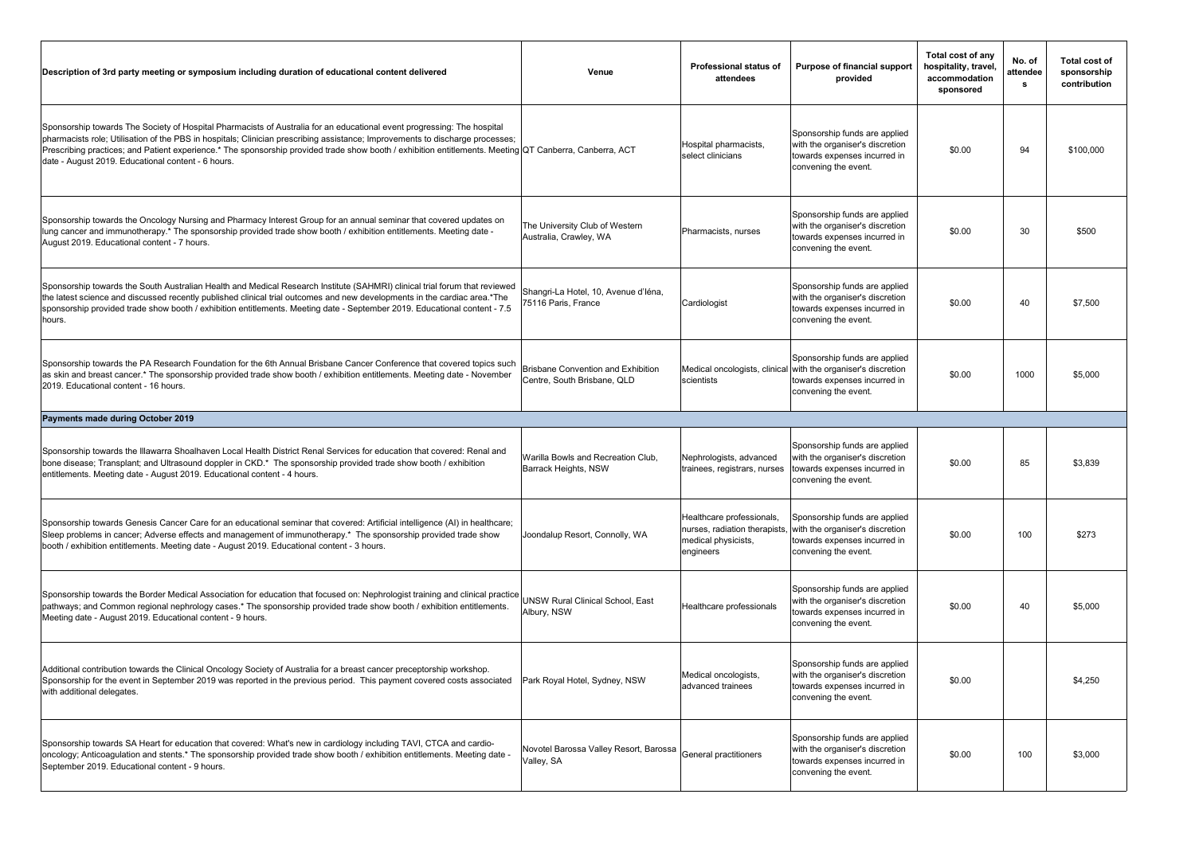| Description of 3rd party meeting or symposium including duration of educational content delivered                                                                                                                                                                                                                                                                                                                                                                         | Venue                                                                    | Professional status of<br>attendees                                                            | Purpose of financial support<br>provided                                                                                                               | Total cost of any<br>hospitality, travel,<br>accommodation<br>sponsored | No. of<br>attendee<br>s | Total cost of<br>sponsorship<br>contribution |
|---------------------------------------------------------------------------------------------------------------------------------------------------------------------------------------------------------------------------------------------------------------------------------------------------------------------------------------------------------------------------------------------------------------------------------------------------------------------------|--------------------------------------------------------------------------|------------------------------------------------------------------------------------------------|--------------------------------------------------------------------------------------------------------------------------------------------------------|-------------------------------------------------------------------------|-------------------------|----------------------------------------------|
| Sponsorship towards The Society of Hospital Pharmacists of Australia for an educational event progressing: The hospital<br>pharmacists role; Utilisation of the PBS in hospitals; Clinician prescribing assistance; Improvements to discharge processes;<br>Prescribing practices; and Patient experience.* The sponsorship provided trade show booth / exhibition entitlements. Meeting QT Canberra, Canberra, ACT<br>date - August 2019. Educational content - 6 hours. |                                                                          | Hospital pharmacists,<br>select clinicians                                                     | Sponsorship funds are applied<br>with the organiser's discretion<br>towards expenses incurred in<br>convening the event.                               | \$0.00                                                                  | 94                      | \$100,000                                    |
| Sponsorship towards the Oncology Nursing and Pharmacy Interest Group for an annual seminar that covered updates on<br>lung cancer and immunotherapy.* The sponsorship provided trade show booth / exhibition entitlements. Meeting date -<br>August 2019. Educational content - 7 hours.                                                                                                                                                                                  | The University Club of Western<br>Australia, Crawley, WA                 | Pharmacists, nurses                                                                            | Sponsorship funds are applied<br>with the organiser's discretion<br>towards expenses incurred in<br>convening the event.                               | \$0.00                                                                  | 30                      | \$500                                        |
| Sponsorship towards the South Australian Health and Medical Research Institute (SAHMRI) clinical trial forum that reviewed<br>the latest science and discussed recently published clinical trial outcomes and new developments in the cardiac area.*The<br>sponsorship provided trade show booth / exhibition entitlements. Meeting date - September 2019. Educational content - 7.5<br>hours.                                                                            | Shangri-La Hotel, 10, Avenue d'Iéna,<br>75116 Paris, France              | Cardiologist                                                                                   | Sponsorship funds are applied<br>with the organiser's discretion<br>towards expenses incurred in<br>convening the event.                               | \$0.00                                                                  | 40                      | \$7,500                                      |
| Sponsorship towards the PA Research Foundation for the 6th Annual Brisbane Cancer Conference that covered topics such<br>as skin and breast cancer.* The sponsorship provided trade show booth / exhibition entitlements. Meeting date - November<br>2019. Educational content - 16 hours.                                                                                                                                                                                | <b>Brisbane Convention and Exhibition</b><br>Centre, South Brisbane, QLD | scientists                                                                                     | Sponsorship funds are applied<br>Medical oncologists, clinical with the organiser's discretion<br>towards expenses incurred in<br>convening the event. | \$0.00                                                                  | 1000                    | \$5,000                                      |
| Payments made during October 2019                                                                                                                                                                                                                                                                                                                                                                                                                                         |                                                                          |                                                                                                |                                                                                                                                                        |                                                                         |                         |                                              |
| Sponsorship towards the Illawarra Shoalhaven Local Health District Renal Services for education that covered: Renal and<br>bone disease; Transplant; and Ultrasound doppler in CKD.* The sponsorship provided trade show booth / exhibition<br>entitlements. Meeting date - August 2019. Educational content - 4 hours.                                                                                                                                                   | Warilla Bowls and Recreation Club,<br>Barrack Heights, NSW               | Nephrologists, advanced<br>trainees, registrars, nurses                                        | Sponsorship funds are applied<br>with the organiser's discretion<br>towards expenses incurred in<br>convening the event.                               | \$0.00                                                                  | 85                      | \$3,839                                      |
| Sponsorship towards Genesis Cancer Care for an educational seminar that covered: Artificial intelligence (AI) in healthcare;<br>Sleep problems in cancer; Adverse effects and management of immunotherapy.* The sponsorship provided trade show<br>booth / exhibition entitlements. Meeting date - August 2019. Educational content - 3 hours.                                                                                                                            | Joondalup Resort, Connolly, WA                                           | Healthcare professionals,<br>nurses, radiation therapists,<br>medical physicists,<br>engineers | Sponsorship funds are applied<br>with the organiser's discretion<br>towards expenses incurred in<br>convening the event.                               | \$0.00                                                                  | 100                     | \$273                                        |
| Sponsorship towards the Border Medical Association for education that focused on: Nephrologist training and clinical practice<br>pathways; and Common regional nephrology cases.* The sponsorship provided trade show booth / exhibition entitlements.<br>Meeting date - August 2019. Educational content - 9 hours.                                                                                                                                                      | UNSW Rural Clinical School, East<br>Albury, NSW                          | Healthcare professionals                                                                       | Sponsorship funds are applied<br>with the organiser's discretion<br>towards expenses incurred in<br>convening the event.                               | \$0.00                                                                  | 40                      | \$5,000                                      |
| Additional contribution towards the Clinical Oncology Society of Australia for a breast cancer preceptorship workshop.<br>Sponsorship for the event in September 2019 was reported in the previous period. This payment covered costs associated<br>with additional delegates.                                                                                                                                                                                            | Park Royal Hotel, Sydney, NSW                                            | Medical oncologists,<br>advanced trainees                                                      | Sponsorship funds are applied<br>with the organiser's discretion<br>towards expenses incurred in<br>convening the event.                               | \$0.00                                                                  |                         | \$4,250                                      |
| Sponsorship towards SA Heart for education that covered: What's new in cardiology including TAVI, CTCA and cardio-<br>oncology; Anticoagulation and stents.* The sponsorship provided trade show booth / exhibition entitlements. Meeting date -<br>September 2019. Educational content - 9 hours.                                                                                                                                                                        | Novotel Barossa Valley Resort, Barossa<br>Valley, SA                     | General practitioners                                                                          | Sponsorship funds are applied<br>with the organiser's discretion<br>towards expenses incurred in<br>convening the event.                               | \$0.00                                                                  | 100                     | \$3,000                                      |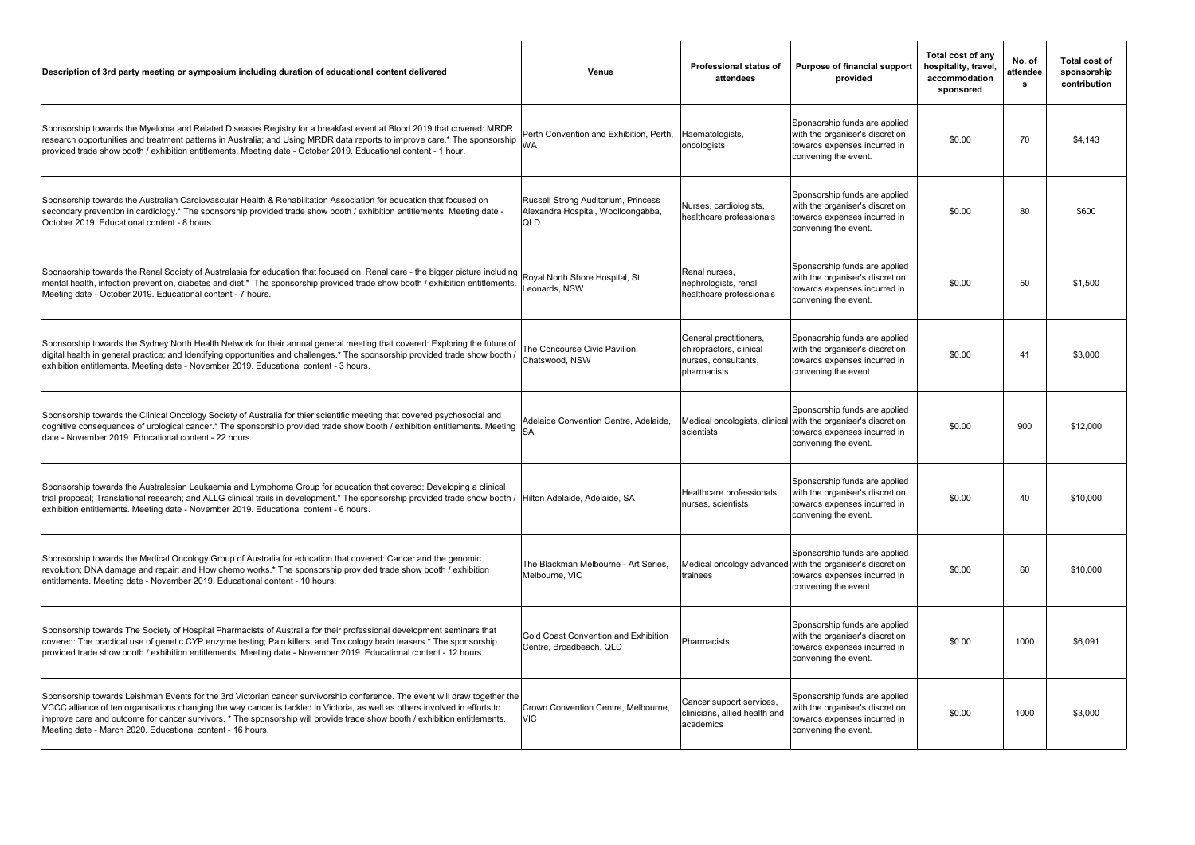| Description of 3rd party meeting or symposium including duration of educational content delivered                                                                                                                                                                                                                                                                                                                                                    | Venue                                                                            | <b>Professional status of</b><br>attendees                                               | Purpose of financial support<br>provided                                                                                                               | Total cost of any<br>hospitality, travel,<br>accommodation<br>sponsored | No. of<br>attendee<br>s | <b>Total cost of</b><br>sponsorship<br>contribution |
|------------------------------------------------------------------------------------------------------------------------------------------------------------------------------------------------------------------------------------------------------------------------------------------------------------------------------------------------------------------------------------------------------------------------------------------------------|----------------------------------------------------------------------------------|------------------------------------------------------------------------------------------|--------------------------------------------------------------------------------------------------------------------------------------------------------|-------------------------------------------------------------------------|-------------------------|-----------------------------------------------------|
| Sponsorship towards the Myeloma and Related Diseases Registry for a breakfast event at Blood 2019 that covered: MRDR<br>research opportunities and treatment patterns in Australia; and Using MRDR data reports to improve care.* The sponsorship<br>provided trade show booth / exhibition entitlements. Meeting date - October 2019. Educational content - 1 hour.                                                                                 | Perth Convention and Exhibition, Perth,<br><b>WA</b>                             | Haematologists,<br>oncologists                                                           | Sponsorship funds are applied<br>with the organiser's discretion<br>towards expenses incurred in<br>convening the event.                               | \$0.00                                                                  | 70                      | \$4,143                                             |
| Sponsorship towards the Australian Cardiovascular Health & Rehabilitation Association for education that focused on<br>secondary prevention in cardiology.* The sponsorship provided trade show booth / exhibition entitlements. Meeting date -<br>October 2019. Educational content - 8 hours.                                                                                                                                                      | Russell Strong Auditorium, Princess<br>Alexandra Hospital, Woolloongabba,<br>QLD | Nurses, cardiologists,<br>healthcare professionals                                       | Sponsorship funds are applied<br>with the organiser's discretion<br>towards expenses incurred in<br>convening the event.                               | \$0.00                                                                  | 80                      | \$600                                               |
| Sponsorship towards the Renal Society of Australasia for education that focused on: Renal care - the bigger picture including<br>mental health, infection prevention, diabetes and diet.* The sponsorship provided trade show booth / exhibition entitlements.<br>Meeting date - October 2019. Educational content - 7 hours.                                                                                                                        | Royal North Shore Hospital, St<br>Leonards, NSW                                  | Renal nurses,<br>nephrologists, renal<br>healthcare professionals                        | Sponsorship funds are applied<br>with the organiser's discretion<br>towards expenses incurred in<br>convening the event.                               | \$0.00                                                                  | 50                      | \$1,500                                             |
| Sponsorship towards the Sydney North Health Network for their annual general meeting that covered: Exploring the future of<br>digital health in general practice; and Identifying opportunities and challenges.* The sponsorship provided trade show booth /<br>exhibition entitlements. Meeting date - November 2019. Educational content - 3 hours.                                                                                                | The Concourse Civic Pavilion,<br>Chatswood, NSW                                  | General practitioners,<br>chiropractors, clinical<br>nurses, consultants,<br>pharmacists | Sponsorship funds are applied<br>with the organiser's discretion<br>towards expenses incurred in<br>convening the event.                               | \$0.00                                                                  | 41                      | \$3,000                                             |
| Sponsorship towards the Clinical Oncology Society of Australia for thier scientific meeting that covered psychosocial and<br>cognitive consequences of urological cancer.* The sponsorship provided trade show booth / exhibition entitlements. Meeting<br>date - November 2019. Educational content - 22 hours.                                                                                                                                     | Adelaide Convention Centre, Adelaide,<br><b>SA</b>                               | scientists                                                                               | Sponsorship funds are applied<br>Medical oncologists, clinical with the organiser's discretion<br>towards expenses incurred in<br>convening the event. | \$0.00                                                                  | 900                     | \$12,000                                            |
| Sponsorship towards the Australasian Leukaemia and Lymphoma Group for education that covered: Developing a clinical<br>trial proposal; Translational research; and ALLG clinical trails in development.* The sponsorship provided trade show booth /<br>exhibition entitlements. Meeting date - November 2019. Educational content - 6 hours.                                                                                                        | Hilton Adelaide, Adelaide, SA                                                    | Healthcare professionals,<br>nurses, scientists                                          | Sponsorship funds are applied<br>with the organiser's discretion<br>towards expenses incurred in<br>convening the event.                               | \$0.00                                                                  | 40                      | \$10,000                                            |
| Sponsorship towards the Medical Oncology Group of Australia for education that covered: Cancer and the genomic<br>revolution; DNA damage and repair; and How chemo works.* The sponsorship provided trade show booth / exhibition<br>entitlements. Meeting date - November 2019. Educational content - 10 hours.                                                                                                                                     | The Blackman Melbourne - Art Series,<br>Melbourne, VIC                           | trainees                                                                                 | Sponsorship funds are applied<br>Medical oncology advanced with the organiser's discretion<br>towards expenses incurred in<br>convening the event.     | \$0.00                                                                  | 60                      | \$10,000                                            |
| Sponsorship towards The Society of Hospital Pharmacists of Australia for their professional development seminars that<br>covered: The practical use of genetic CYP enzyme testing; Pain killers; and Toxicology brain teasers.* The sponsorship<br>provided trade show booth / exhibition entitlements. Meeting date - November 2019. Educational content - 12 hours.                                                                                | Gold Coast Convention and Exhibition<br>Centre, Broadbeach, QLD                  | Pharmacists                                                                              | Sponsorship funds are applied<br>with the organiser's discretion<br>towards expenses incurred in<br>convening the event.                               | \$0.00                                                                  | 1000                    | \$6,091                                             |
| Sponsorship towards Leishman Events for the 3rd Victorian cancer survivorship conference. The event will draw together the<br>VCCC alliance of ten organisations changing the way cancer is tackled in Victoria, as well as others involved in efforts to<br>improve care and outcome for cancer survivors. * The sponsorship will provide trade show booth / exhibition entitlements.<br>Meeting date - March 2020. Educational content - 16 hours. | Crown Convention Centre, Melbourne,<br><b>VIC</b>                                | Cancer support services,<br>clinicians, allied health and<br>academics                   | Sponsorship funds are applied<br>with the organiser's discretion<br>towards expenses incurred in<br>convening the event.                               | \$0.00                                                                  | 1000                    | \$3,000                                             |